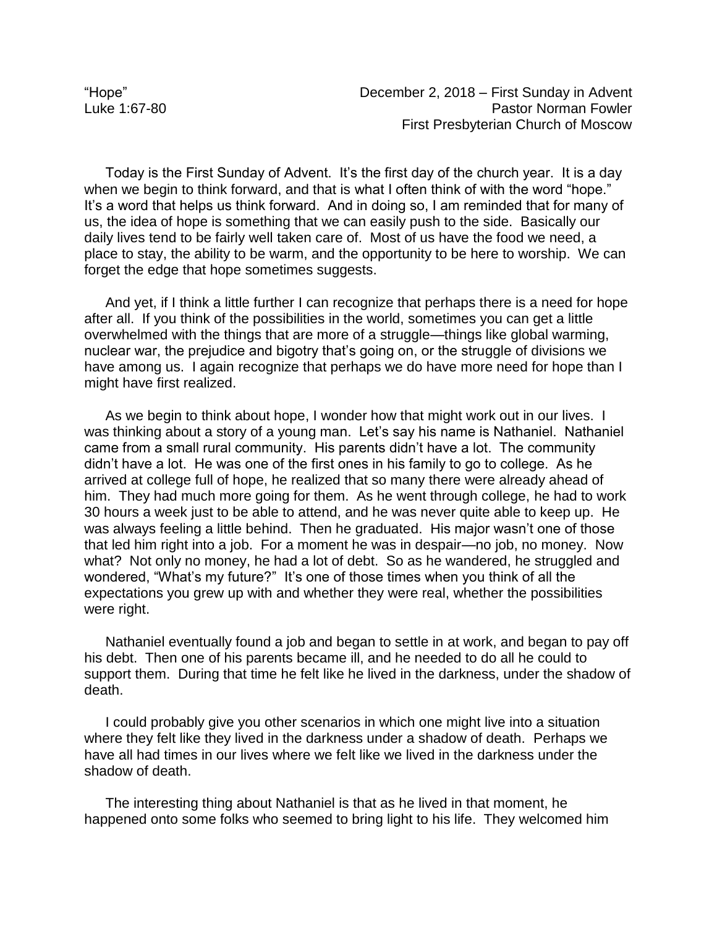Today is the First Sunday of Advent. It's the first day of the church year. It is a day when we begin to think forward, and that is what I often think of with the word "hope." It's a word that helps us think forward. And in doing so, I am reminded that for many of us, the idea of hope is something that we can easily push to the side. Basically our daily lives tend to be fairly well taken care of. Most of us have the food we need, a place to stay, the ability to be warm, and the opportunity to be here to worship. We can forget the edge that hope sometimes suggests.

And yet, if I think a little further I can recognize that perhaps there is a need for hope after all. If you think of the possibilities in the world, sometimes you can get a little overwhelmed with the things that are more of a struggle—things like global warming, nuclear war, the prejudice and bigotry that's going on, or the struggle of divisions we have among us. I again recognize that perhaps we do have more need for hope than I might have first realized.

As we begin to think about hope, I wonder how that might work out in our lives. I was thinking about a story of a young man. Let's say his name is Nathaniel. Nathaniel came from a small rural community. His parents didn't have a lot. The community didn't have a lot. He was one of the first ones in his family to go to college. As he arrived at college full of hope, he realized that so many there were already ahead of him. They had much more going for them. As he went through college, he had to work 30 hours a week just to be able to attend, and he was never quite able to keep up. He was always feeling a little behind. Then he graduated. His major wasn't one of those that led him right into a job. For a moment he was in despair—no job, no money. Now what? Not only no money, he had a lot of debt. So as he wandered, he struggled and wondered, "What's my future?" It's one of those times when you think of all the expectations you grew up with and whether they were real, whether the possibilities were right.

Nathaniel eventually found a job and began to settle in at work, and began to pay off his debt. Then one of his parents became ill, and he needed to do all he could to support them. During that time he felt like he lived in the darkness, under the shadow of death.

I could probably give you other scenarios in which one might live into a situation where they felt like they lived in the darkness under a shadow of death. Perhaps we have all had times in our lives where we felt like we lived in the darkness under the shadow of death.

The interesting thing about Nathaniel is that as he lived in that moment, he happened onto some folks who seemed to bring light to his life. They welcomed him